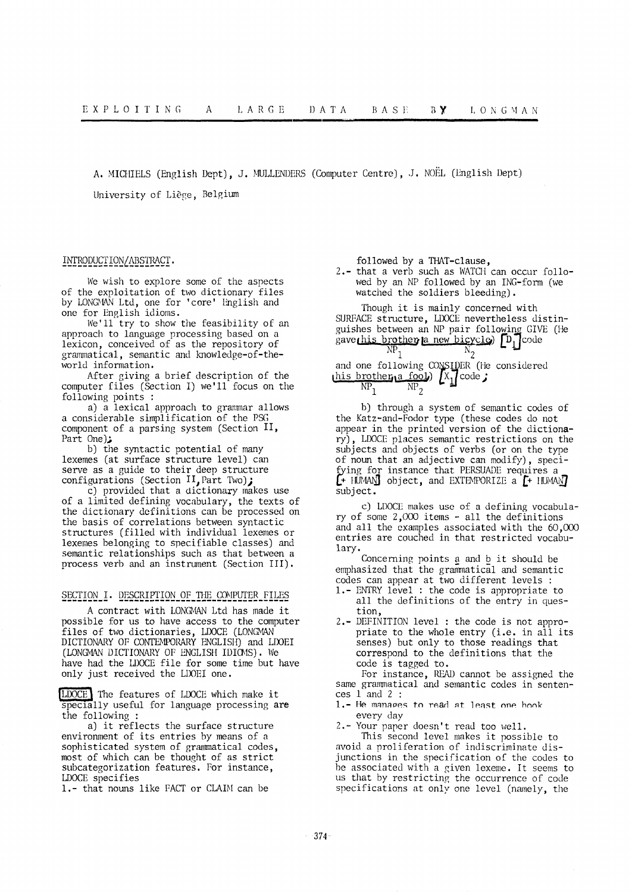A. MICHIELS (English Dept), J. MULLENDERS (Computer Centre), J. NOËL (English Dept)

University of Liège, Belgium

# INTRODUCTION/ABSTRACT.

We wish to explore some of the aspects of the exploitation of two dictionary files by LONGMAN Ltd, one for 'core' Inglish and one for Imglish idioms.

We'll try to show the feasibility of an approach to language processing based on a lexicon, conceived of as the repository of grammatical, semantic and knowledge-of-theworld information.

After giving a brief description of the computer files (Section I) we'll focus on the following points :

a) a lexical approach to granmar allows a considerable simplification of the PSG component of a parsing system (Section II, Part One);

b) the syntactic potential of many lexemes (at surface structure level) can serve as a guide to their deep structure configurations (Section  $II$ , Part Two);

c) provided that a dictionary makes use of a limited defining vocabulary, the texts of the dictionary definitions can be processed on the basis of correlations between syntactic structures (filled with individual lexemes or lexemes belonging to specifiable classes) and semantic relationships such as that between a process verb and an instrument (Section III).

# SECTION I. DESCRIPTION OF THE COMPUTER FILES

A contract with LON@IAN Ltd has made it possible for us to have access to the computer files of two dictionaries, LDOCE (LONGMAN) DICTIONARY OF CONTEMPORARY ENGLISH) and LDOEI (LONGMAN DICTIONARY OF ENGLISH IDIOMS). We have had the LDOCE file for some time but have only just received the LDOEI one.

LDOCE The features of LDOCE which make it specially useful for language processing are the following :

a) it reflects the surface structure environment of its entries by means of a sophisticated system of grammatical codes, most of which can be thought of as strict subcategorization features. For instance, IDOCE specifies

i.- that nouns like FACT or CLAIM can be

followed by a THAT-clause,

2.- that a verb such as WATCH can occur followed by an NP followed by an ING-form (we watched the soldiers bleeding).

Though it is mainly concerned with SURFACE structure, LDOCE nevertheless distinguishes between an NP pair following GIVE (He gaushes between an allegy left of  $\Gamma$  $N_{\rm T}$   $N_{\rm 2}$ 

and one following CO~SIDER (He considered this brother, a fool)  $X_1$  code  $NP_1$   $NP_2$   $P_3$ 

b) through a system of semantic codes of the Katz-and-Fodor type (these codes do not appear in the printed version of the dictionary), LDOCE places semantic restrictions on the subjects and objects of verbs (or on the type of noun that an adjective can modify), speci- **•+** ing for instance that PERSUADE requires a t~A~ object, and EXTFNPORIZE a [+ ItU~4AN~ subject.

c) LDOCE makes use of a defining vocabulary of some 2,000 items - all the definitions and all the examples associated with the 60,000 entries are couched in that restricted vocabulary.

Concerning points a and b it should be emphasized that the grammatical and semantic codes can appear at two different levels :

- i.- ENTRY level : the code is appropriate to all the definitions of the entry in question,
- 2.- DEFINITION level : the code is not appropriate to the whole entry (i.e. in all its senses) but only to those readings that correspond to the definitions that the code is tagged to.

For instance, READ cannot be assigned the same grammatical and semantic codes in sentences 1 and 2 :

1.- He manages to read at least one hook every day

2.- Your paper doesn't read too well. This second level makes it possible to avoid a proliferation of indiscriminate disjunctions in the specification of the codes to be associated with a given lexeme. It seems to us that by restricting the occurrence of code specifications at only one level (namely, the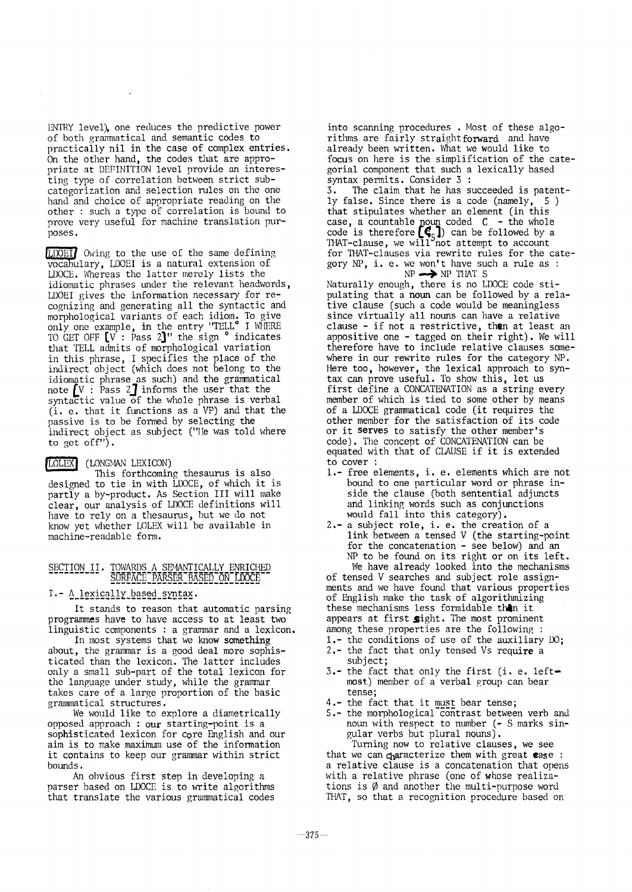HNTRY level), one reduces the predictive power of both grammatical and semantic codes to practically nil in the case of complex entries. On the other hand, the codes that are appropriate at DEFINITION level provide an interesting type of correlation between strict subcategorization and selection rules on the one hand and choice of appropriate reading on the other : such a type of correlation is bound to prove very useful for machine translation purposes.

**LDOEI** Owing to the use of the same defining vocabulary, LDOEI is a natural extension of LDOCE. Whereas the latter merely lists the idiomatic phrases under the relevant headwords, LDOEI gives the information necessary for recognizing and generating all the syntactic and morphological variants of each idiom. To give only one example, in the entry "TELL ° I WHERE TO GET OFF  $\lfloor V \rfloor$ : Pass 2 $\lfloor$  the sign  $\lceil V \rceil$  indicates that TELL admits of morphological variation in this phrase, I specifies the place of the indirect object (which does not belong to the idiomatic phrase as such) and the grammatical note  $\lfloor V \rfloor$ : Pass 2J informs the user that the syntactic value of the whole phrase is verbal (i. e. that it functions as a VP) and that the passive is to be formed by selecting the indirect object as subject ("He was told where to get off").

# (LONGMAN LEXICON)

This forthcoming thesaurus is also designed to tie in with LDOCE, of which it is partly a by-product. As Section III will make clear, our analysis of LDOCE definitions will have to rely on a thesaurus, but we do not know yet whether LOLEX will be available in machine-readable form.

## SECTION II. TOWARDS A SEMANTICALLY ENRICHED SURFACE PARSER BASED ON LDOCE

#### I.- A\_lexically\_based\_syntax.

It stands to reason that automatic parsing programmes have to have access to at least two linguistic components : a grammar and a lexicon.

In most systems that we know something about, the grammar is a good deal more sophisticated than the lexicon. The latter includes only a small sub-part of the total lexicon for the language under study, while the grammar takes care of a large proportion of the basic grammatical structures.

We would like to explore a diametrically opposed approach : our starting-point is a sophisticated lexicon for core English and our aim is to make maximum use of the information it contains to keep our grammar within strict bounds.

An obvious first step in developing a parser based on LDOCE is to write algorithms that translate the various grammatical codes into scanning procedures . Most of these algorithms are fairly straightforward and have already been written. What we would like to focus on here is the simplification of the categorial component that such a lexically based syntax permits. Consider 3 :

3. The claim that he has succeeded is patently false. Since there is a code (namely, 5 ) that stipulates whether an element (in this case, a countable noun coded C - the whole code is therefore  $[\mathbf{\mathsf{C}}_{\mathsf{c}}]$  can be followed by a THAT-clause, we will~not attempt to account for THAT-clauses via rewrite rules for the category NP, i. e. we won't have such a rule as :  $NP \longrightarrow NP$  THAT S

Naturally enough, there is no LDOCE code stipulating that a noun can be followed by a relative clause (such a code would be meaningless since virtually all nouns can have a relative clause - if not a restrictive, then at least an appositive one - tagged on their right). We will therefore have to include relative clauses somewhere in our rewrite rules for the category NP. Here too, however, the lexical approach to syntax can prove useful. To show this, let us first define a CONCATENATION as a string every member of which is tied to some other by means of a LDOCE grammatical code (it requires the other member for the satisfaction of its code or it serves to satisfy the other member's code). The concept of CONCATENATION can be equated with that of CLAUSE if it is extended to cover :

i.- free elements, i, e. elements which are not bound to one particular word or phrase inside the clause (both sentential adjuncts and linking words such as conjunctions would fall into this category).

2.- a subject role, i. e. the creation of a link between a tensed V (the starting-point for the concatenation - see below) and an NP to be found on its right or on its left. We have already looked into the mechanisms

of tensed V searches and subject role assignments and we have found that various properties of English make the task of algorithmizing these mechanisms less formidable then it appears at first  $\text{gight.}$  The most prominent among these properties are the following : I.- the conditions of use of the auxiliary DO;

- 2.- the fact that only tensed Vs require a subject;
- 3.- the fact that only the first (i. e. leftmost) member of a verbal group can bear tense;
- 4.- the fact that it must bear tense;
- S.- the morphological contrast between verb and noun with respect to number (- S marks singular verbs but plural nouns).

Turning now to relative clauses, we see that we can characterize them with great ease : a relative clause is a concatenation that opens with a relative phrase (one of whose realizations is  $\emptyset$  and another the multi-purpose word THAT, so that a recognition procedure based on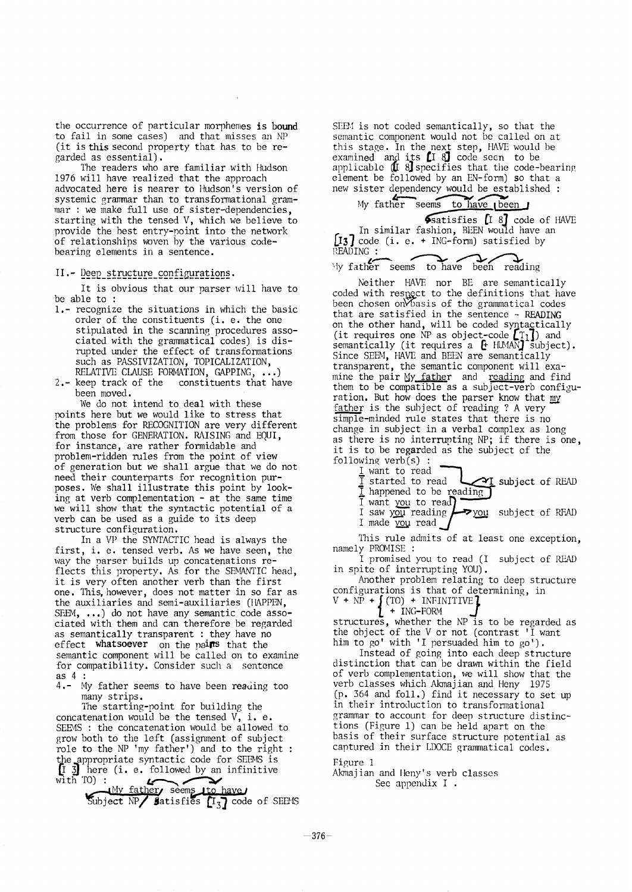the occurrence of particular morphemes is bound to fail in some cases) and that misses an NP (it is this second property that has to be regarded as essential).

The readers who are familiar with Hudson 1976 will have realized that the approach advocated here is nearer to Hudson's version of systemic grammar than to transformational grammar : we make full use of sister-dependencies, starting with the tensed V, which we believe to provide the best entry-point into the network of relationships woven by the various codebearing elements in a sentence.

#### II.- Deep\_structure\_configurations.

It is obvious that our parser will have to be able to :

- I.- recognize the situations in which the basic order of the constituents (i. e. the one stipulated in the scanning procedures associated with the grammatical codes) is disrupted under the effect of transformations such as PASSIVIZATION, TOPICALIZATION, RELATIVE CLAUSE FORMATION, GAPPING,  $\ldots$ )
- 2.- keep track of the constituents that have been moved.

We do not intend to deal with these points here but we would like to stress that the problems for RECOGNITION are very different from those for GENERATION. RAISING and EQUI, for instance, are rather formidable and problem-ridden rules from the point of view of generation but we shall argue that we do not need their counterparts for recognition purposes. We shall illustrate this point by looking at verb complementation - at the same time we will show that the syntactic potential of a verb can be used as a guide to its deep structure configuration.

In a VP the SYNTACTIC head is always the first, i. e. tensed verb. As we have seen, the way the parser builds up concatenations reflects this property. As for the SEMANTIC head, it is very often another verb than the first one. This, however, does not matter in so far as the auxiliaries and semi-auxiliaries (HAPPEN, SEEM, ...) do not have any semantic code associated with them and can therefore be regarded as semantically transparent : they have no effect whatsoever on the pains that the semantic component will be called on to examine for compatibility. Consider such a sentence as4 :

4.- My father seems to have been reading too many strips.

The starting-point for building the concatenation would be the tensed  $V$ , i. e. SEEMS : the concatenation would be allowed to grow both to the left (assigrunent of subject role to the NP 'my father') and to the right : he\_appropriate syntactic code for SEEMS is 3J here (i. e. followed by an infinitive with TO) :  $\sim$ 

Subject  $NP$  seems to have

SEEM is not coded semantically, so that the semantic component would not be called on at this stage. In the next step, IIAVE would be examined and its  $\Box$  8) code seen to be applicable  $~\left(\!\!\left[ \text{I} \right]\right.$  specifies that the code-bearing  $~$ element be followed by an EN-form) so that a new sister dependency would be established :

| My father seems to have been 1                                         |
|------------------------------------------------------------------------|
| Satisfies [I 8] code of HAVE<br>In similar fashion, BEEN would have an |
| $\left[13\right]$ code (i.e. + ING-form) satisfied by                  |
| READING :<br>My father seems to have been reading                      |

Neither HAVE nor BE are semantically coded with respect to the definitions that have been chosen onYDasis of the grammatical codes that are satisfied in the sentence  $\sim$  READING on the other hand, will be coded syntactically (it requires one NP as object-code  $\lfloor \frac{n}{2} \rfloor$  ) and semantically (it requires a  $~\uplus~$  HUMAN] subject). Since SEEM, HAVE and BEEN are semantically transparent, the semantic component will examine the pair My father and reading and find them to be compatible as a subject-verb configuration. But how does the parser know that my father is the subject of reading ? A very simple-minded rule states that there is no change in subject in a verbal complex as long as there is no interrupting NP; if there is one, it is to be regarded as the subject of the following verb(s) :

|  | -------- |  | .              |  |
|--|----------|--|----------------|--|
|  |          |  | I want to read |  |

- $I$  started to read  $\Box$  subject of READ I happened to be reading
- I want  $\gamma$ ou to read
- I saw you reading  $\rightarrow$ you subject of READ I made you read

This rule admits of at least one exception, namely PROMISE :

I promised you to read (I subject of READ in spite of interrupting YOU).

Another problem relating to deep structure configurations is that of determining, in

 $V + NP + J (TO) + INFINITE I$  $+$  ING-FORM  $-$ 

structures, whether the NP is to be regarded as the object of the V or not (contrast 'I want him to go' with 'I persuaded him to go').

Instead of going into each deep structure distinction that can be drawn within the field of verb complementation, we will show that the verb classes which Akmajian and Heny 1975 (p. 364 and fell.) find it necessary to set up in their introduction to transformational grammar to account for deep structure distinctions (Figure i) can be held apart on the basis of their surface structure potential as captured in their LDOCE grammatical codes.

Figure 1

Akmajian and Heny's verb classes See appendix I .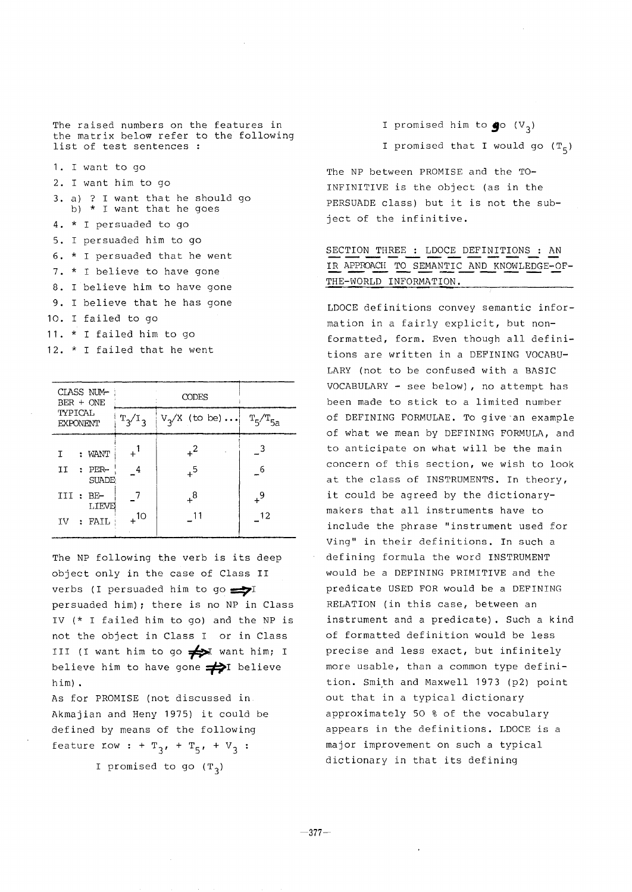The raised numbers on the features in the matrix below refer to the following list of test sentences :

I. I want to go

- 2. I want him to go
- 3. a) ? I want that he should go b) \* I want that he goes 4. \* I persuaded to go 5. I persuaded him to go 6. \* I persuaded that he went 7. \* I believe to have gone 8. I believe him to have gone 9. I believe that he has gone 10. I failed to go 11. \* I failed him to go
- 12. \* I failed that he went

i

| CLASS NUM-<br>$BER + ONE$         |                  | CODES            |                  |
|-----------------------------------|------------------|------------------|------------------|
| <b>TYPICAL</b><br><b>EXPONENT</b> | $T_2/T_3$        | $V_2/X$ (to be)  | $\mathrm{T_{c}}$ |
| : WANT<br>Τ                       | $+$ <sup>'</sup> | $+^2$            |                  |
| $:$ PER-<br>II<br><b>SUADE</b>    | 4                | $+$ <sup>5</sup> | $-6$             |
| $III : BE-$<br>LIEVE              |                  | $^{8}$           | $^{9}$           |
| <b>FAIL</b><br>ΤV<br>÷            | $+10$            | 11               | -12              |

The NP following the verb is its deep object only in the case of Class II verbs (I persuaded him to go  $\Longrightarrow$ I persuaded him); there is no NP in Class IV (\* I failed him to go) and the NP is not the object in Class I or in Class III (I want him to go  $\Rightarrow$ I want him; I believe him to have gone  $\Rightarrow$ I believe him) .

As for PROMISE (not discussed in Akmajian and Heny 1975) it could be defined by means of the following feature row : +  $T_3$ , +  $T_5$ , +  $V_3$  :

I promised to go  $(T_3)$ 

I promised him to  $\bullet$  (V<sub>3</sub>)

I promised that I would go  $(T_5)$ 

*/* 

The NP between PROMISE and the TO-INFINITIVE is the object (as in the PERSUADE class) but it is not the subject of the infinitive.

SECTION THREE : LDOCE DEFINITIONS : AN IR APPROACH TO SEMANTIC AND KNOWLEDGE-OF-THE-WORLD INFORMATION.

LDOCE definitions convey semantic information in a fairly explicit, but nonformatted, form. Even though all definitions are written in a DEFINING VOCABU-LARY (not to be confused with a BASIC VOCABULARY - see below), no attempt has been made to stick to a limited number of DEFINING FORMULAE. To give an example of what we mean by DEFINING FORMULA, and to anticipate on what will be the main concern of this section, we wish to look at the class of INSTRUMENTS. In theory, it could be agreed by the dictionarymakers that all instruments have to include the phrase "instrument used for Ving" in their definitions. In such a defining formula the word INSTRUMENT would be a DEFINING PRIMITIVE and the predicate USED FOR would be a DEFINING RELATION (in this case, between an instrument and a predicate). Such a kind of formatted definition would be less precise and less exact, but infinitely more usable, than a common type definition. Smith and Maxwell 1973 (p2) point out that in a typical dictionary approximately 50 % of the vocabulary appears in the definitions. LDOCE is a major improvement on such a typical dictionary in that its defining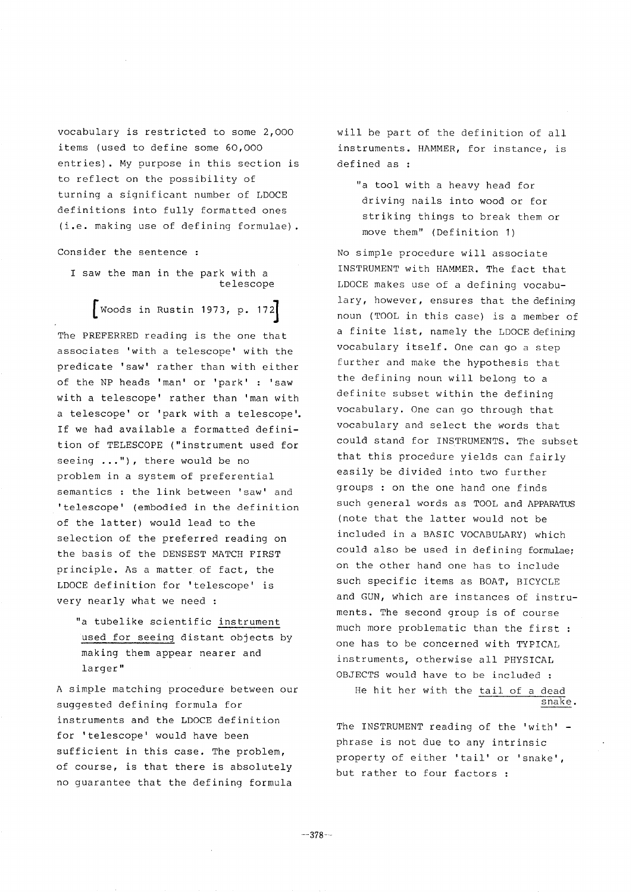vocabulary is restricted to some 2,000 items (used to define some 60,000 entries). My purpose in this section is to reflect on the possibility of turning a significant number of LDOCE definitions into fully formatted ones (i.e. making use of defining formulae).

Consider the sentence :

I saw the man in the park with a telescope

 $\left[\begin{smallmatrix} \text{Woods} & \text{in} & \text{Rustin} & 1973, & p. & 172 \end{smallmatrix}\right]$ The PREFERRED reading is the one that associates 'with a telescope' with the predicate 'saw' rather than with either of the NP heads 'man' or 'park' : 'saw with a telescope' rather than 'man with a telescope' or 'park with a telescope'. If we had available a formatted definition of TELESCOPE ("instrument used for seeing ..."), there would be no problem in a system of preferential semantics : the link between 'saw' and 'telescope' (embodied in the definition of the latter) would lead to the selection of the preferred reading on the basis of the DENSEST MATCH FIRST principle. As a matter of fact, the LDOCE definition for 'telescope' is very nearly what we need :

"a tubelike scientific instrument used for seeing distant objects by making them appear nearer and larger"

A simple matching procedure between our suggested defining formula for instruments and the LDOCE definition for 'telescope' would have been sufficient in this case. The problem, of course, is that there is absolutely no guarantee that the defining formula

will be part of the definition of all instruments. HAMMER, for instance, is defined as :

"a tool with a heavy head for driving nails into wood or for striking things to break them or move them" (Definition I)

No simple procedure will associate INSTRUMENT with HAMMER. The fact that LDOCE makes use of a defining vocabulary, however, ensures that the defining noun (TOOL in this case) is a member of a finite list, namely the LDOCE defining vocabulary itself. One can go a step further and make the hypothesis that the defining noun will belong to a definite subset within the defining vocabulary. One can go through that vocabulary and select the words that could stand for INSTRUMENTS. The subset that this procedure yields can fairly easily be divided into two further groups : on the one hand one finds such general words as TOOL and APPARATUS (note that the latter would not be included in a BASIC VOCABULARY) which could also be used in defining formulae; on the other hand one has to include such specific items as BOAT, BICYCLE and GUN, which are instances of instruments. The second group is of course much more problematic than the first : one has to be concerned with TYPICAL instruments, otherwise all PHYSICAL OBJECTS would have to be included : He hit her with the tail of a dead

snake.

The INSTRUMENT reading of the 'with' phrase is not due to any intrinsic property of either 'tail' or 'snake', but rather to four factors :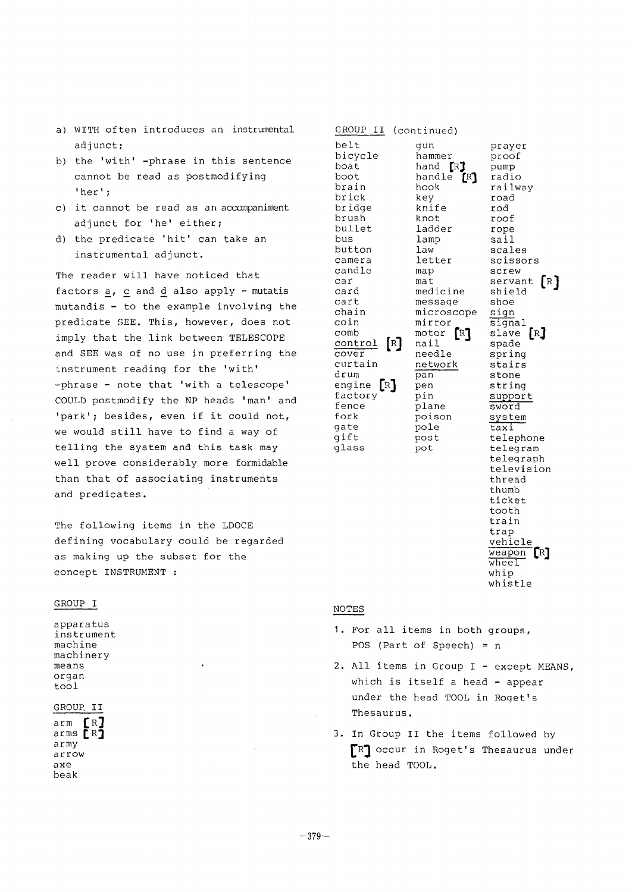- a) WITH often introduces an instrumental adjunct;
- b) the 'with' -phrase in this sentence cannot be read as postmodifying 'her';
- c) it cannot be read as an accompaniment adjunct for 'he' either;
- d) the predicate 'hit' can take an instrumental adjunct.

The reader will have noticed that factors a, c and d also apply - mutatis mutandis - to the example involving the predicate SEE. This, however, does not imply that the link between TELESCOPE and SEE was of no use in preferring the instrument reading for the 'with' -phrase - note that 'with a telescope' COULD postmodify the NP heads 'man' and 'park'; besides, even if it could not, we would still have to find a way of telling the system and this task may well prove considerably more formidable than that of associating instruments and predicates.

The following items in the LDOCE defining vocabulary could be regarded as making up the subset for the concept INSTRUMENT :

#### GROUP I

apparatus instrument machine machinery means organ tool

## GROUR II

arm [R] arms  $R^{\dagger}$ army arrow axe beak

| GROUP II                                                                                                                                                                                                                                                                                                               | (continued)                                                                                                                                                                                                                                                                               |                                                                                                                                                                                                                                                                                                                                                                |
|------------------------------------------------------------------------------------------------------------------------------------------------------------------------------------------------------------------------------------------------------------------------------------------------------------------------|-------------------------------------------------------------------------------------------------------------------------------------------------------------------------------------------------------------------------------------------------------------------------------------------|----------------------------------------------------------------------------------------------------------------------------------------------------------------------------------------------------------------------------------------------------------------------------------------------------------------------------------------------------------------|
| belt<br>bicycle<br>boat<br>boot<br>brain<br>brick<br>bridge<br>brush<br>bullet<br>bus<br>button<br>camera<br>candle<br>car<br>card<br>cart<br>chain<br>coin<br>comb<br>control<br>$\mathbb{R}$<br>cover<br>curtain<br>drum<br>$\left[\mathbb{R}\right]$<br>engine<br>factory<br>fence<br>fork<br>qate<br>gift<br>glass | qun<br>hammer<br>hand<br>[R]<br>handle<br>[R]<br>hook<br>key<br>knife<br>knot<br>ladder<br>lamp<br>law<br>letter<br>map<br>mat<br>medicine<br>message<br>microscope<br>mirror<br>motor<br>[R]<br>nail<br>needle<br>network<br>pan<br>pen<br>pin<br>plane<br>poison<br>pole<br>post<br>pot | prayer<br>proof<br>pump<br>radio<br>railway<br>road<br>rod<br>roof<br>rope<br>sail<br>scales<br>scissors<br>screw<br>[R]<br>servant<br>shield<br>shoe<br>sign<br>signal<br>[R]<br>slave<br>spade<br>spring<br>stairs<br>stone<br>string<br>support<br>sword<br>system<br>taxi<br>telephone<br>telegram<br>telegraph<br>television<br>thread<br>thumb<br>ticket |

# NOTES

- I. For all items in both groups, POS (Part of Speech) = n
- 2. All items in Group I except MEANS, which is itself a head - appear under the head TOOL in Roget's Thesaurus.

tooth train trap vehicle weapon [R]  $\overline{\text{wheel}}$ whip whistle

3. In Group II the items followed by [R] occur in Roget's Thesaurus under the head TOOL.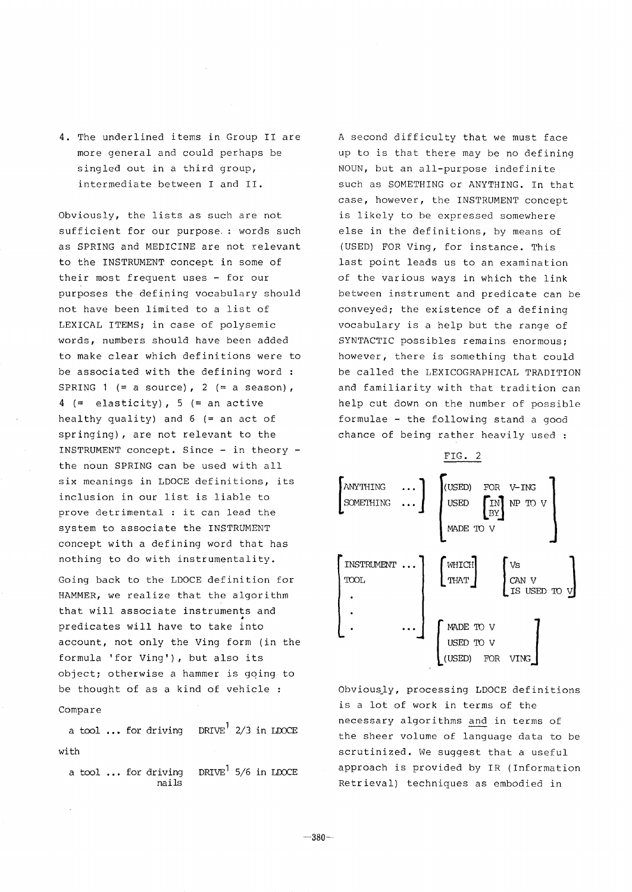4. The underlined items in Group II are more general and could perhaps be singled out in a third group, intermediate between I and II.

Obviously, the lists as such are not sufficient for our purpose : words such as SPRING and MEDICINE are not relevant to the INSTRUMENT concept in some of their most frequent uses - for our purposes the defining vocabulary should not have been limited to a list of LEXICAL ITEMS; in case of polysemic words, numbers should have been added to make clear which definitions were to be associated with the defining word : SPRING 1 (= a source), 2 (= a season),  $4 (=$  elasticity), 5 (= an active healthy quality) and  $6$  (= an act of springing), are not relevant to the INSTRUMENT concept. Since - in theory the noun SPRING can be used with all six meanings in LDOCE definitions, its inclusion in our list is liable to prove detrimental : it can lead the system to associate the INSTRUMENT concept with a defining word that has nothing to do with instrumentality.

Going back to the LDOCE definition for HAMMER, we realize that the algorithm that will associate instruments and predicates will have to take into account, not only the Ving form (in the formula 'for Ving'), but also its object; otherwise a hammer is going to be thought of as a kind of vehicle : **Compare** 

a tool ... for driving  $DRIVE^1$  2/3 in LDOCE with

a tool ... for driving  $DRIVE$ <sup>1</sup> 5/6 in LDOCE nails

A second difficulty that we must face up to is that there may be no defining NOUN, but an all-purpose indefinite such as SOMETHING or ANYTHING. In that case, however, the INSTRUMENT concept is likely to be expressed somewhere else in the definitions, by means of (USED) FOR Ving, for instance. This last point leads us to an examination of the various ways in which the link between instrument and predicate can be conveyed; the existence of a defining vocabulary is a help but the range of SYNTACTIC possibles remains enormous; however, there is something that could be called the LEXICOGRAPHICAL TRADITION and familiarity with that tradition can help cut down on the number of possible formulae - the following stand a good chance of being rather heavily used :



Obviously, processing LDOCE definitions is a lot of work in terms of the necessary algorithms and in terms of the sheer volume of language data to be scrutinized. We suggest that a useful approach is provided by IR (Information Retrieval) techniques as embodied in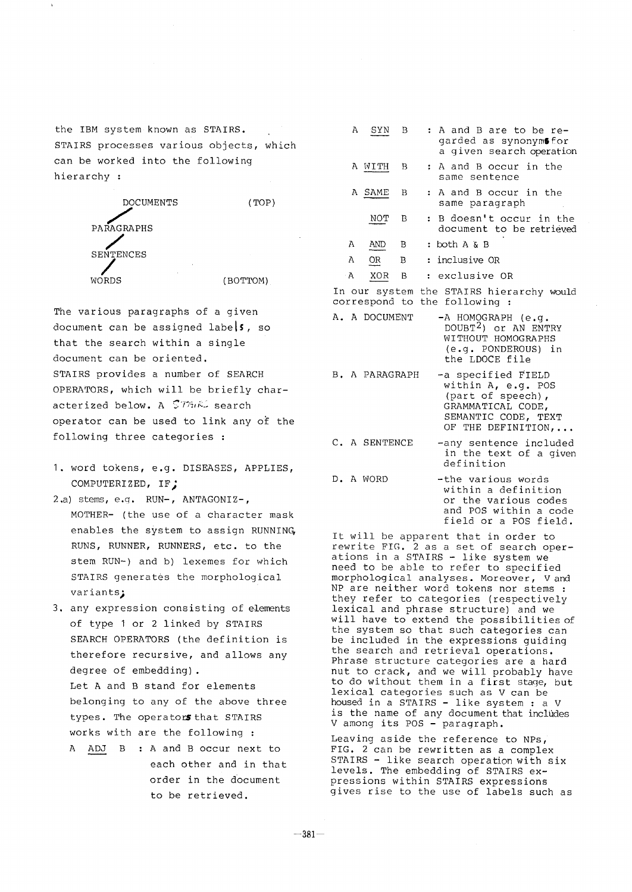the IBM system known as STAIRS. STAIRS processes various objects, which can be worked into the following hierarchy :

> DOCUMENTS (TOP) PARAGRAPHS **/**  SENTENCES<br>WORDS (BOTTOM)

The various paragraphs of a given document can be assigned labe  $s$ , so that the search within a single document can be oriented. STAIRS provides a number of SEARCH OPERATORS, which will be briefly characterized below. A  $$774.62$  search operator can be used to link any of the following three categories :

- I. word tokens, e.g. DISEASES, APPLIES, COMPUTERIZED, IF;
- 2.a) stems, e.g. RUN-, ANTAGONIZ-, MOTHER- (the use of a character mask enables the system to assign RUNNING RUNS, RUNNER, RUNNERS, etc. to the stem RUN-) and b) lexemes for which STAIRS generates the morphological variants;
- 3. any expression consisting of elements of type I or 2 linked by STAIRS SEARCH OPERATORS (the definition is therefore recursive, and allows any degree of embedding). Let A and B stand for elements belonging to any of the above three types. The operators that STAIRS works with are the following :
	- A ADJ B : A and B occur next to each other and in that order in the document to be retrieved.

| Α                             | SYN                | B            | : A and B are to be re-<br>garded as synonymsfor<br>a given search operation                                          |
|-------------------------------|--------------------|--------------|-----------------------------------------------------------------------------------------------------------------------|
|                               | A WITH             | В            | : A and B occur in the<br>same sentence                                                                               |
|                               | A SAME             | B.           | : A and B occur in the<br>same paragraph                                                                              |
|                               | NOT                | B            | : B doesn't occur in the<br>document to be retrieved                                                                  |
| Α                             | AND                | B            | : both A & B                                                                                                          |
| Α                             | OR                 | $\mathbf{B}$ | : inclusive OR                                                                                                        |
| ∙ A                           | XOR                | B            | : exclusive OR                                                                                                        |
|                               |                    |              | In our system the STAIRS hierarchy would<br>correspond to the following :                                             |
|                               | A. A DOCUMENT      |              | -A HOMOGRAPH (e.g.<br>DOUBT <sup>2</sup> ) or AN ENTRY<br>WITHOUT HOMOGRAPHS<br>(e.g. PONDEROUS) in<br>the LDOCE file |
| $\overline{\phantom{a}}$<br>∽ | <b>DIDIODI</b> DII |              | . <i>. .</i> <del>.</del>                                                                                             |

- B. A PARAGRAPH -a specified FIELD within A, e.g. POS (part of speech), GRAMMATICAL CODE, SEMANTIC CODE, TEXT OF THE DEFINITION,...
- **C. A** SENTENCE -any sentence included in the text of a given definition
- D. A WORD -the various words within a definition or the various codes and POS within a code field or a POS field.

It will be apparent that in order to rewrite FIG. 2 as a set of search operations in a STAIRS - like system we need to be able to refer to specified morphological analyses. Moreover, V and NP are neither word tokens nor stems : they refer to categories (respectively lexical and phrase structure) and we will have to extend the possibilities of the system so that such categories can be included in the expressions guiding the search and retrieval operations. Phrase structure categories are a hard nut to crack, and we will probably have to do without them in a first stage, but lexical categories such as V can be housed in a STAIRS - like system : a V is the name of any document that includes V among its POS - paragraph.

Leaving aside the reference to NPs, FIG. 2 can be rewritten as a complex STAIRS - like search operation with six levels. The embedding of STAIRS expressions within STAIRS expressions gives rise to the use of labels such as